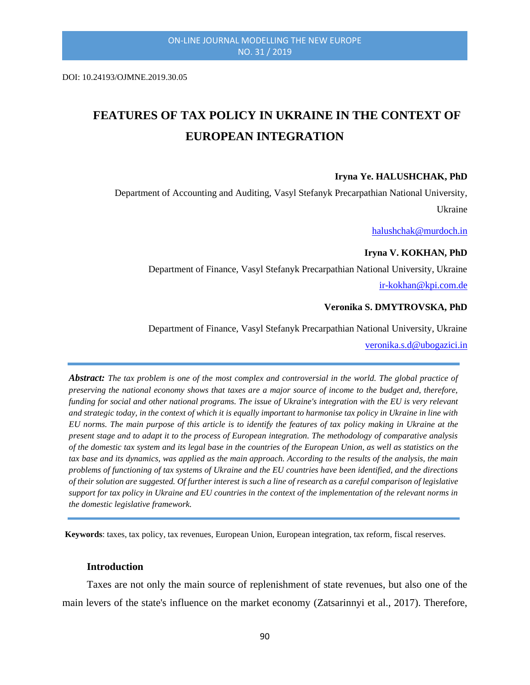DOI: 10.24193/OJMNE.2019.30.05

# **FEATURES OF TAX POLICY IN UKRAINE IN THE CONTEXT OF EUROPEAN INTEGRATION**

#### **Iryna Ye. HALUSHCHAK, PhD**

Department of Accounting and Auditing, Vasyl Stefanyk Precarpathian National University, Ukraine

[halushchak@murdoch.in](mailto:halushchak@murdoch.in)

#### **Iryna V. KOKHAN, PhD**

Department of Finance, Vasyl Stefanyk Precarpathian National University, Ukraine [ir-kokhan@kpi.com.de](mailto:ir-kokhan@kpi.com.de)

#### **Veronika S. DMYTROVSKA, PhD**

Department of Finance, Vasyl Stefanyk Precarpathian National University, Ukraine

[veronika.s.d@ubogazici.in](mailto:veronika.s.d@ubogazici.in)

*Abstract: The tax problem is one of the most complex and controversial in the world. The global practice of preserving the national economy shows that taxes are a major source of income to the budget and, therefore, funding for social and other national programs. The issue of Ukraine's integration with the EU is very relevant and strategic today, in the context of which it is equally important to harmonise tax policy in Ukraine in line with EU norms. The main purpose of this article is to identify the features of tax policy making in Ukraine at the present stage and to adapt it to the process of European integration. The methodology of comparative analysis of the domestic tax system and its legal base in the countries of the European Union, as well as statistics on the tax base and its dynamics, was applied as the main approach. According to the results of the analysis, the main problems of functioning of tax systems of Ukraine and the EU countries have been identified, and the directions of their solution are suggested. Of further interest is such a line of research as a careful comparison of legislative support for tax policy in Ukraine and EU countries in the context of the implementation of the relevant norms in the domestic legislative framework.*

**Keywords**: taxes, tax policy, tax revenues, European Union, European integration, tax reform, fiscal reserves.

#### **Introduction**

Taxes are not only the main source of replenishment of state revenues, but also one of the main levers of the state's influence on the market economy (Zatsarinnyi et al., 2017). Therefore,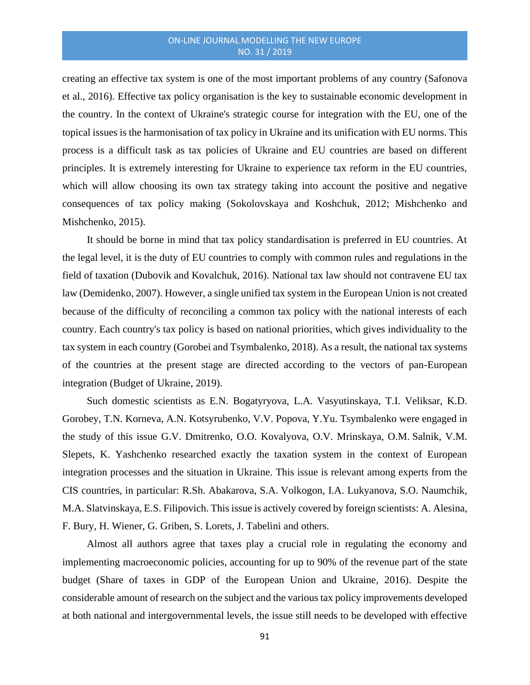creating an effective tax system is one of the most important problems of any country (Safonova et al., 2016). Effective tax policy organisation is the key to sustainable economic development in the country. In the context of Ukraine's strategic course for integration with the EU, one of the topical issues is the harmonisation of tax policy in Ukraine and its unification with EU norms. This process is a difficult task as tax policies of Ukraine and EU countries are based on different principles. It is extremely interesting for Ukraine to experience tax reform in the EU countries, which will allow choosing its own tax strategy taking into account the positive and negative consequences of tax policy making (Sokolovskaya and Koshchuk, 2012; Mishchenko and Mishchenko, 2015).

It should be borne in mind that tax policy standardisation is preferred in EU countries. At the legal level, it is the duty of EU countries to comply with common rules and regulations in the field of taxation (Dubovik and Kovalchuk, 2016). National tax law should not contravene EU tax law (Demidenko, 2007). However, a single unified tax system in the European Union is not created because of the difficulty of reconciling a common tax policy with the national interests of each country. Each country's tax policy is based on national priorities, which gives individuality to the tax system in each country (Gorobei and Tsymbalenko, 2018). As a result, the national tax systems of the countries at the present stage are directed according to the vectors of pan-European integration (Budget of Ukraine, 2019).

Such domestic scientists as E.N. Bogatyryova, L.A. Vasyutinskaya, T.I. Veliksar, K.D. Gorobey, T.N. Korneva, A.N. Kotsyrubenko, V.V. Popova, Y.Yu. Tsymbalenko were engaged in the study of this issue G.V. Dmitrenko, O.O. Kovalyova, O.V. Mrinskaya, O.M. Salnik, V.M. Slepets, K. Yashchenko researched exactly the taxation system in the context of European integration processes and the situation in Ukraine. This issue is relevant among experts from the CIS countries, in particular: R.Sh. Abakarova, S.A. Volkogon, I.A. Lukyanova, S.O. Naumchik, M.A. Slatvinskaya, E.S. Filipovich. This issue is actively covered by foreign scientists: A. Alesina, F. Bury, H. Wiener, G. Griben, S. Lorets, J. Tabelini and others.

Almost all authors agree that taxes play a crucial role in regulating the economy and implementing macroeconomic policies, accounting for up to 90% of the revenue part of the state budget (Share of taxes in GDP of the European Union and Ukraine, 2016). Despite the considerable amount of research on the subject and the various tax policy improvements developed at both national and intergovernmental levels, the issue still needs to be developed with effective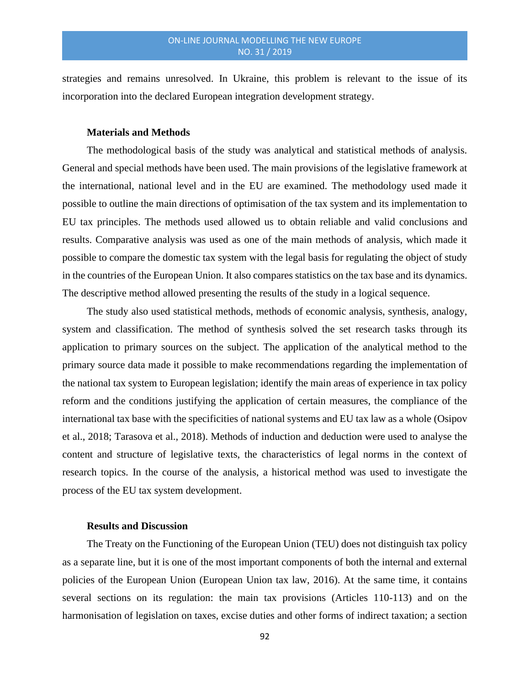strategies and remains unresolved. In Ukraine, this problem is relevant to the issue of its incorporation into the declared European integration development strategy.

## **Materials and Methods**

The methodological basis of the study was analytical and statistical methods of analysis. General and special methods have been used. The main provisions of the legislative framework at the international, national level and in the EU are examined. The methodology used made it possible to outline the main directions of optimisation of the tax system and its implementation to EU tax principles. The methods used allowed us to obtain reliable and valid conclusions and results. Comparative analysis was used as one of the main methods of analysis, which made it possible to compare the domestic tax system with the legal basis for regulating the object of study in the countries of the European Union. It also compares statistics on the tax base and its dynamics. The descriptive method allowed presenting the results of the study in a logical sequence.

The study also used statistical methods, methods of economic analysis, synthesis, analogy, system and classification. The method of synthesis solved the set research tasks through its application to primary sources on the subject. The application of the analytical method to the primary source data made it possible to make recommendations regarding the implementation of the national tax system to European legislation; identify the main areas of experience in tax policy reform and the conditions justifying the application of certain measures, the compliance of the international tax base with the specificities of national systems and EU tax law as a whole (Osipov et al., 2018; Tarasova et al., 2018). Methods of induction and deduction were used to analyse the content and structure of legislative texts, the characteristics of legal norms in the context of research topics. In the course of the analysis, a historical method was used to investigate the process of the EU tax system development.

#### **Results and Discussion**

The Treaty on the Functioning of the European Union (TEU) does not distinguish tax policy as a separate line, but it is one of the most important components of both the internal and external policies of the European Union (European Union tax law, 2016). At the same time, it contains several sections on its regulation: the main tax provisions (Articles 110-113) and on the harmonisation of legislation on taxes, excise duties and other forms of indirect taxation; a section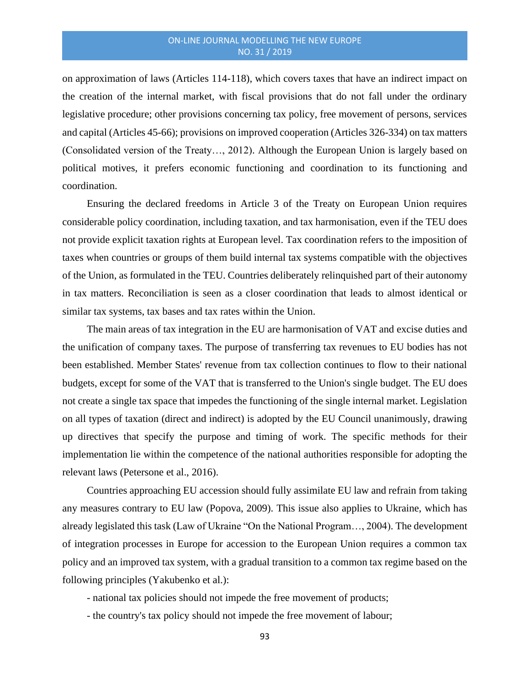on approximation of laws (Articles 114-118), which covers taxes that have an indirect impact on the creation of the internal market, with fiscal provisions that do not fall under the ordinary legislative procedure; other provisions concerning tax policy, free movement of persons, services and capital (Articles 45-66); provisions on improved cooperation (Articles 326-334) on tax matters (Consolidated version of the Treaty…, 2012). Although the European Union is largely based on political motives, it prefers economic functioning and coordination to its functioning and coordination.

Ensuring the declared freedoms in Article 3 of the Treaty on European Union requires considerable policy coordination, including taxation, and tax harmonisation, even if the TEU does not provide explicit taxation rights at European level. Tax coordination refers to the imposition of taxes when countries or groups of them build internal tax systems compatible with the objectives of the Union, as formulated in the TEU. Countries deliberately relinquished part of their autonomy in tax matters. Reconciliation is seen as a closer coordination that leads to almost identical or similar tax systems, tax bases and tax rates within the Union.

The main areas of tax integration in the EU are harmonisation of VAT and excise duties and the unification of company taxes. The purpose of transferring tax revenues to EU bodies has not been established. Member States' revenue from tax collection continues to flow to their national budgets, except for some of the VAT that is transferred to the Union's single budget. The EU does not create a single tax space that impedes the functioning of the single internal market. Legislation on all types of taxation (direct and indirect) is adopted by the EU Council unanimously, drawing up directives that specify the purpose and timing of work. The specific methods for their implementation lie within the competence of the national authorities responsible for adopting the relevant laws (Petersone et al., 2016).

Countries approaching EU accession should fully assimilate EU law and refrain from taking any measures contrary to EU law (Popova, 2009). This issue also applies to Ukraine, which has already legislated this task (Law of Ukraine "On the National Program…, 2004). The development of integration processes in Europe for accession to the European Union requires a common tax policy and an improved tax system, with a gradual transition to a common tax regime based on the following principles (Yakubenko et al.):

- national tax policies should not impede the free movement of products;

- the country's tax policy should not impede the free movement of labour;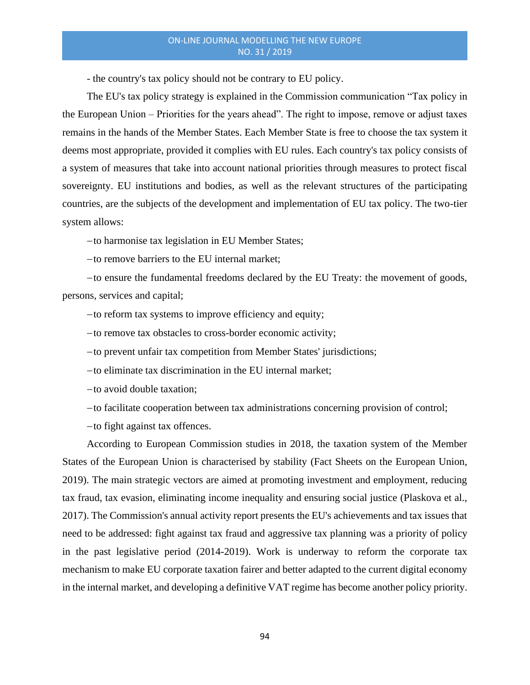- the country's tax policy should not be contrary to EU policy.

The EU's tax policy strategy is explained in the Commission communication "Tax policy in the European Union – Priorities for the years ahead". The right to impose, remove or adjust taxes remains in the hands of the Member States. Each Member State is free to choose the tax system it deems most appropriate, provided it complies with EU rules. Each country's tax policy consists of a system of measures that take into account national priorities through measures to protect fiscal sovereignty. EU institutions and bodies, as well as the relevant structures of the participating countries, are the subjects of the development and implementation of EU tax policy. The two-tier system allows:

−to harmonise tax legislation in EU Member States;

−to remove barriers to the EU internal market;

−to ensure the fundamental freedoms declared by the EU Treaty: the movement of goods, persons, services and capital;

−to reform tax systems to improve efficiency and equity;

−to remove tax obstacles to cross-border economic activity;

−to prevent unfair tax competition from Member States' jurisdictions;

−to eliminate tax discrimination in the EU internal market;

−to avoid double taxation;

−to facilitate cooperation between tax administrations concerning provision of control;

−to fight against tax offences.

According to European Commission studies in 2018, the taxation system of the Member States of the European Union is characterised by stability (Fact Sheets on the European Union, 2019). The main strategic vectors are aimed at promoting investment and employment, reducing tax fraud, tax evasion, eliminating income inequality and ensuring social justice (Plaskova et al., 2017). The Commission's annual activity report presents the EU's achievements and tax issues that need to be addressed: fight against tax fraud and aggressive tax planning was a priority of policy in the past legislative period (2014-2019). Work is underway to reform the corporate tax mechanism to make EU corporate taxation fairer and better adapted to the current digital economy in the internal market, and developing a definitive VAT regime has become another policy priority.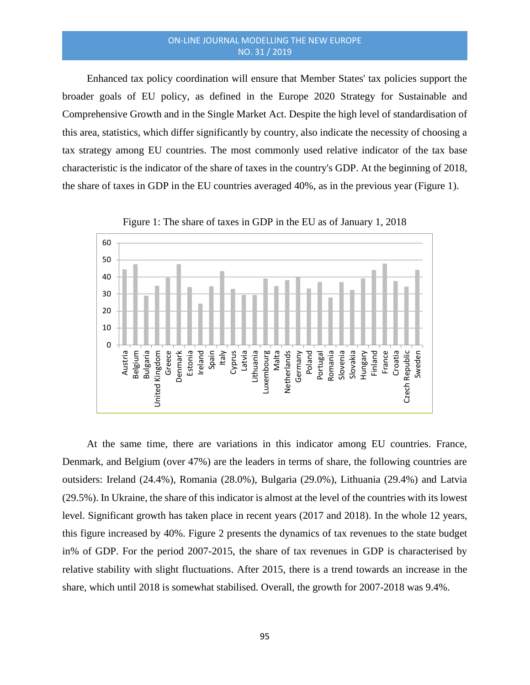Enhanced tax policy coordination will ensure that Member States' tax policies support the broader goals of EU policy, as defined in the Europe 2020 Strategy for Sustainable and Comprehensive Growth and in the Single Market Act. Despite the high level of standardisation of this area, statistics, which differ significantly by country, also indicate the necessity of choosing a tax strategy among EU countries. The most commonly used relative indicator of the tax base characteristic is the indicator of the share of taxes in the country's GDP. At the beginning of 2018, the share of taxes in GDP in the EU countries averaged 40%, as in the previous year (Figure 1).



Figure 1: The share of taxes in GDP in the EU as of January 1, 2018

At the same time, there are variations in this indicator among EU countries. France, Denmark, and Belgium (over 47%) are the leaders in terms of share, the following countries are outsiders: Ireland (24.4%), Romania (28.0%), Bulgaria (29.0%), Lithuania (29.4%) and Latvia (29.5%). In Ukraine, the share of this indicator is almost at the level of the countries with its lowest level. Significant growth has taken place in recent years (2017 and 2018). In the whole 12 years, this figure increased by 40%. Figure 2 presents the dynamics of tax revenues to the state budget in% of GDP. For the period 2007-2015, the share of tax revenues in GDP is characterised by relative stability with slight fluctuations. After 2015, there is a trend towards an increase in the share, which until 2018 is somewhat stabilised. Overall, the growth for 2007-2018 was 9.4%.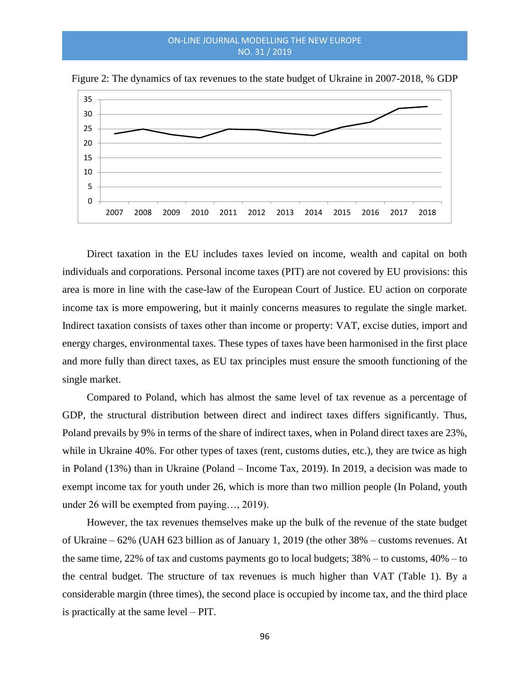

Figure 2: The dynamics of tax revenues to the state budget of Ukraine in 2007-2018, % GDP

Direct taxation in the EU includes taxes levied on income, wealth and capital on both individuals and corporations. Personal income taxes (PIT) are not covered by EU provisions: this area is more in line with the case-law of the European Court of Justice. EU action on corporate income tax is more empowering, but it mainly concerns measures to regulate the single market. Indirect taxation consists of taxes other than income or property: VAT, excise duties, import and energy charges, environmental taxes. These types of taxes have been harmonised in the first place and more fully than direct taxes, as EU tax principles must ensure the smooth functioning of the single market.

Compared to Poland, which has almost the same level of tax revenue as a percentage of GDP, the structural distribution between direct and indirect taxes differs significantly. Thus, Poland prevails by 9% in terms of the share of indirect taxes, when in Poland direct taxes are 23%, while in Ukraine 40%. For other types of taxes (rent, customs duties, etc.), they are twice as high in Poland (13%) than in Ukraine (Poland – Income Tax, 2019). In 2019, a decision was made to exempt income tax for youth under 26, which is more than two million people (In Poland, youth under 26 will be exempted from paying…, 2019).

However, the tax revenues themselves make up the bulk of the revenue of the state budget of Ukraine – 62% (UAH 623 billion as of January 1, 2019 (the other 38% – customs revenues. At the same time, 22% of tax and customs payments go to local budgets;  $38\%$  – to customs,  $40\%$  – to the central budget. The structure of tax revenues is much higher than VAT (Table 1). By a considerable margin (three times), the second place is occupied by income tax, and the third place is practically at the same level – PIT.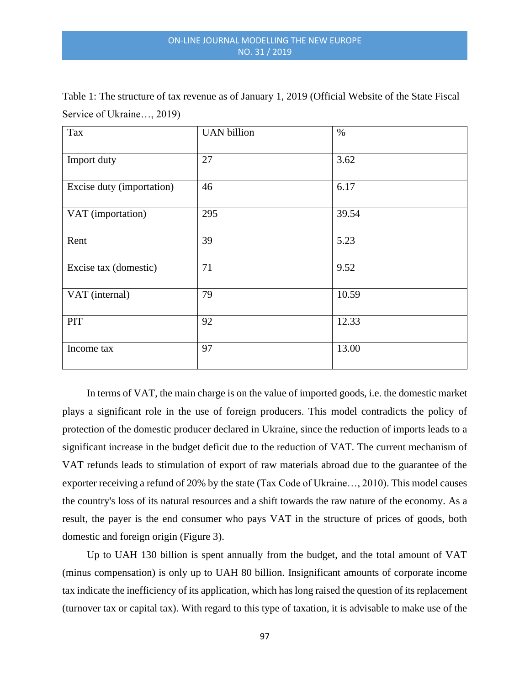| Tax                       | <b>UAN</b> billion | $\%$  |
|---------------------------|--------------------|-------|
| Import duty               | 27                 | 3.62  |
| Excise duty (importation) | 46                 | 6.17  |
| VAT (importation)         | 295                | 39.54 |
| Rent                      | 39                 | 5.23  |
| Excise tax (domestic)     | 71                 | 9.52  |
| VAT (internal)            | 79                 | 10.59 |
| PIT                       | 92                 | 12.33 |
| Income tax                | 97                 | 13.00 |

Table 1: The structure of tax revenue as of January 1, 2019 (Official Website of the State Fiscal Service of Ukraine…, 2019)

In terms of VAT, the main charge is on the value of imported goods, i.e. the domestic market plays a significant role in the use of foreign producers. This model contradicts the policy of protection of the domestic producer declared in Ukraine, since the reduction of imports leads to a significant increase in the budget deficit due to the reduction of VAT. The current mechanism of VAT refunds leads to stimulation of export of raw materials abroad due to the guarantee of the exporter receiving a refund of 20% by the state (Tax Code of Ukraine…, 2010). This model causes the country's loss of its natural resources and a shift towards the raw nature of the economy. As a result, the payer is the end consumer who pays VAT in the structure of prices of goods, both domestic and foreign origin (Figure 3).

Up to UAH 130 billion is spent annually from the budget, and the total amount of VAT (minus compensation) is only up to UAH 80 billion. Insignificant amounts of corporate income tax indicate the inefficiency of its application, which has long raised the question of its replacement (turnover tax or capital tax). With regard to this type of taxation, it is advisable to make use of the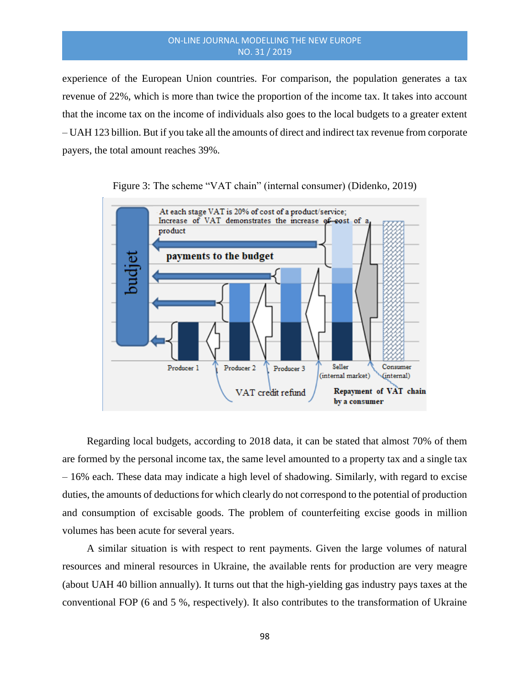experience of the European Union countries. For comparison, the population generates a tax revenue of 22%, which is more than twice the proportion of the income tax. It takes into account that the income tax on the income of individuals also goes to the local budgets to a greater extent – UAH 123 billion. But if you take all the amounts of direct and indirect tax revenue from corporate payers, the total amount reaches 39%.





Regarding local budgets, according to 2018 data, it can be stated that almost 70% of them are formed by the personal income tax, the same level amounted to a property tax and a single tax – 16% each. These data may indicate a high level of shadowing. Similarly, with regard to excise duties, the amounts of deductions for which clearly do not correspond to the potential of production and consumption of excisable goods. The problem of counterfeiting excise goods in million volumes has been acute for several years.

A similar situation is with respect to rent payments. Given the large volumes of natural resources and mineral resources in Ukraine, the available rents for production are very meagre (about UAH 40 billion annually). It turns out that the high-yielding gas industry pays taxes at the conventional FOP (6 and 5 %, respectively). It also contributes to the transformation of Ukraine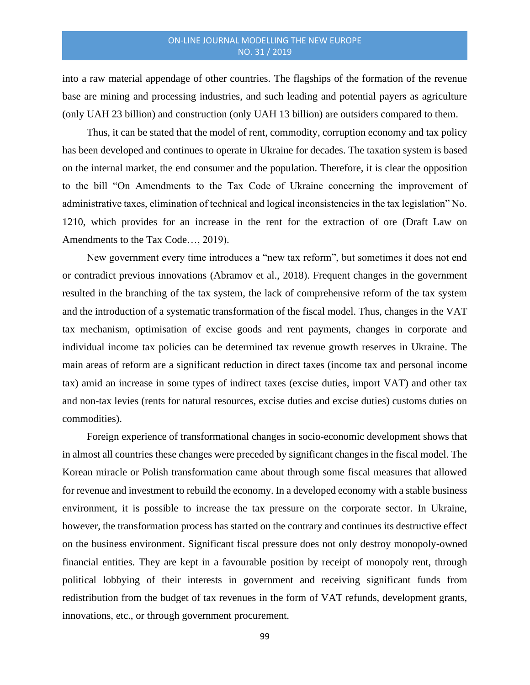into a raw material appendage of other countries. The flagships of the formation of the revenue base are mining and processing industries, and such leading and potential payers as agriculture (only UAH 23 billion) and construction (only UAH 13 billion) are outsiders compared to them.

Thus, it can be stated that the model of rent, commodity, corruption economy and tax policy has been developed and continues to operate in Ukraine for decades. The taxation system is based on the internal market, the end consumer and the population. Therefore, it is clear the opposition to the bill "On Amendments to the Tax Code of Ukraine concerning the improvement of administrative taxes, elimination of technical and logical inconsistencies in the tax legislation" No. 1210, which provides for an increase in the rent for the extraction of ore (Draft Law on Amendments to the Tax Code…, 2019).

New government every time introduces a "new tax reform", but sometimes it does not end or contradict previous innovations (Abramov et al., 2018). Frequent changes in the government resulted in the branching of the tax system, the lack of comprehensive reform of the tax system and the introduction of a systematic transformation of the fiscal model. Thus, changes in the VAT tax mechanism, optimisation of excise goods and rent payments, changes in corporate and individual income tax policies can be determined tax revenue growth reserves in Ukraine. The main areas of reform are a significant reduction in direct taxes (income tax and personal income tax) amid an increase in some types of indirect taxes (excise duties, import VAT) and other tax and non-tax levies (rents for natural resources, excise duties and excise duties) customs duties on commodities).

Foreign experience of transformational changes in socio-economic development shows that in almost all countries these changes were preceded by significant changes in the fiscal model. The Korean miracle or Polish transformation came about through some fiscal measures that allowed for revenue and investment to rebuild the economy. In a developed economy with a stable business environment, it is possible to increase the tax pressure on the corporate sector. In Ukraine, however, the transformation process has started on the contrary and continues its destructive effect on the business environment. Significant fiscal pressure does not only destroy monopoly-owned financial entities. They are kept in a favourable position by receipt of monopoly rent, through political lobbying of their interests in government and receiving significant funds from redistribution from the budget of tax revenues in the form of VAT refunds, development grants, innovations, etc., or through government procurement.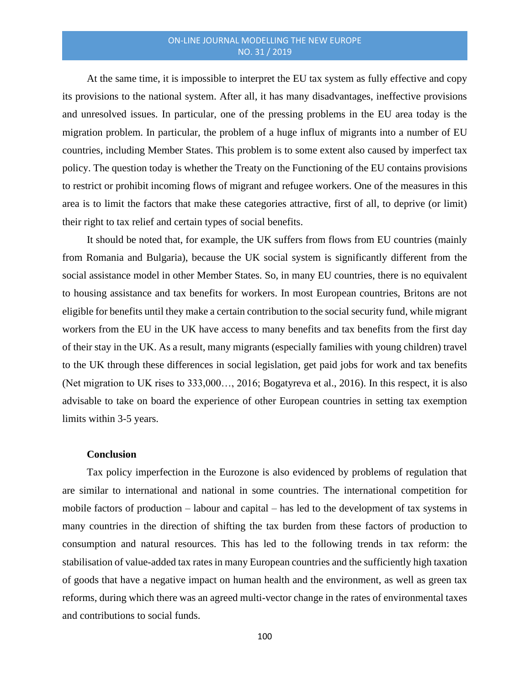At the same time, it is impossible to interpret the EU tax system as fully effective and copy its provisions to the national system. After all, it has many disadvantages, ineffective provisions and unresolved issues. In particular, one of the pressing problems in the EU area today is the migration problem. In particular, the problem of a huge influx of migrants into a number of EU countries, including Member States. This problem is to some extent also caused by imperfect tax policy. The question today is whether the Treaty on the Functioning of the EU contains provisions to restrict or prohibit incoming flows of migrant and refugee workers. One of the measures in this area is to limit the factors that make these categories attractive, first of all, to deprive (or limit) their right to tax relief and certain types of social benefits.

It should be noted that, for example, the UK suffers from flows from EU countries (mainly from Romania and Bulgaria), because the UK social system is significantly different from the social assistance model in other Member States. So, in many EU countries, there is no equivalent to housing assistance and tax benefits for workers. In most European countries, Britons are not eligible for benefits until they make a certain contribution to the social security fund, while migrant workers from the EU in the UK have access to many benefits and tax benefits from the first day of their stay in the UK. As a result, many migrants (especially families with young children) travel to the UK through these differences in social legislation, get paid jobs for work and tax benefits (Net migration to UK rises to 333,000…, 2016; Bogatyreva et al., 2016). In this respect, it is also advisable to take on board the experience of other European countries in setting tax exemption limits within 3-5 years.

#### **Conclusion**

Tax policy imperfection in the Eurozone is also evidenced by problems of regulation that are similar to international and national in some countries. The international competition for mobile factors of production – labour and capital – has led to the development of tax systems in many countries in the direction of shifting the tax burden from these factors of production to consumption and natural resources. This has led to the following trends in tax reform: the stabilisation of value-added tax rates in many European countries and the sufficiently high taxation of goods that have a negative impact on human health and the environment, as well as green tax reforms, during which there was an agreed multi-vector change in the rates of environmental taxes and contributions to social funds.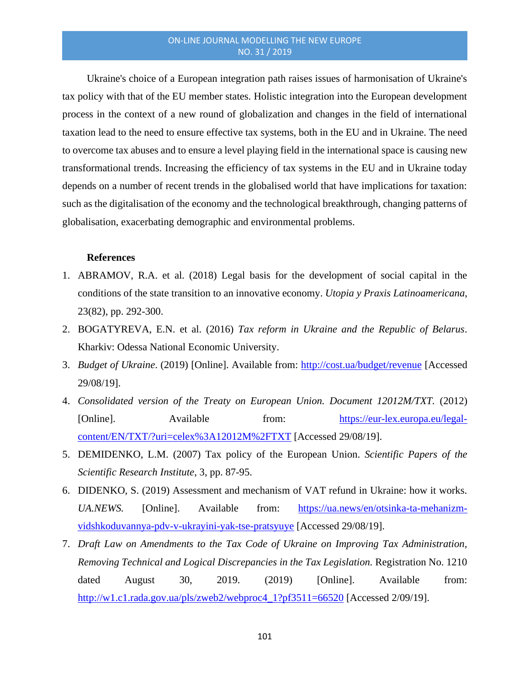Ukraine's choice of a European integration path raises issues of harmonisation of Ukraine's tax policy with that of the EU member states. Holistic integration into the European development process in the context of a new round of globalization and changes in the field of international taxation lead to the need to ensure effective tax systems, both in the EU and in Ukraine. The need to overcome tax abuses and to ensure a level playing field in the international space is causing new transformational trends. Increasing the efficiency of tax systems in the EU and in Ukraine today depends on a number of recent trends in the globalised world that have implications for taxation: such as the digitalisation of the economy and the technological breakthrough, changing patterns of globalisation, exacerbating demographic and environmental problems.

## **References**

- 1. ABRAMOV, R.A. et al. (2018) Legal basis for the development of social capital in the conditions of the state transition to an innovative economy. *Utopia y Praxis Latinoamericana*, 23(82), pp. 292-300.
- 2. BOGATYREVA, E.N. et al. (2016) *Tax reform in Ukraine and the Republic of Belarus*. Kharkiv: Odessa National Economic University.
- 3. *Budget of Ukraine*. (2019) [Online]. Available from:<http://cost.ua/budget/revenue> [Accessed 29/08/19].
- 4. *Consolidated version of the Treaty on European Union. Document 12012M/TXT.* (2012) [Online]. Available from: [https://eur-lex.europa.eu/legal](https://eur-lex.europa.eu/legal-content/EN/TXT/?uri=celex%3A12012M%2FTXT)[content/EN/TXT/?uri=celex%3A12012M%2FTXT](https://eur-lex.europa.eu/legal-content/EN/TXT/?uri=celex%3A12012M%2FTXT) [Accessed 29/08/19].
- 5. DEMIDENKO, L.M. (2007) Tax policy of the European Union. *Scientific Papers of the Scientific Research Institute*, 3, pp. 87-95.
- 6. DIDENKO, S. (2019) Assessment and mechanism of VAT refund in Ukraine: how it works. *UA.NEWS.* [Online]. Available from: [https://ua.news/en/otsinka-ta-mehanizm](https://ua.news/en/otsinka-ta-mehanizm-vidshkoduvannya-pdv-v-ukrayini-yak-tse-pratsyuye)[vidshkoduvannya-pdv-v-ukrayini-yak-tse-pratsyuye](https://ua.news/en/otsinka-ta-mehanizm-vidshkoduvannya-pdv-v-ukrayini-yak-tse-pratsyuye) [Accessed 29/08/19].
- 7. *Draft Law on Amendments to the Tax Code of Ukraine on Improving Tax Administration, Removing Technical and Logical Discrepancies in the Tax Legislation.* Registration No. 1210 dated August 30, 2019. (2019) [Online]. Available from: [http://w1.c1.rada.gov.ua/pls/zweb2/webproc4\\_1?pf3511=66520](http://w1.c1.rada.gov.ua/pls/zweb2/webproc4_1?pf3511=66520) [Accessed 2/09/19].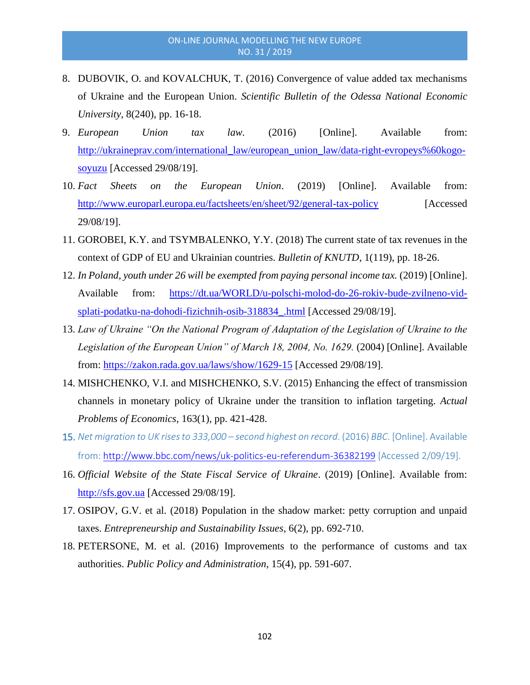- 8. DUBOVIK, O. and KOVALCHUK, T. (2016) Convergence of value added tax mechanisms of Ukraine and the European Union. *Scientific Bulletin of the Odessa National Economic University,* 8(240), pp. 16-18.
- 9. *European Union tax law.* (2016) [Online]. Available from: [http://ukraineprav.com/international\\_law/european\\_union\\_law/data-right-evropeys%60kogo](http://ukraineprav.com/international_law/european_union_law/data-right-evropeys%60kogo-soyuzu)[soyuzu](http://ukraineprav.com/international_law/european_union_law/data-right-evropeys%60kogo-soyuzu) [Accessed 29/08/19].
- 10. *Fact Sheets on the European Union*. (2019) [Online]. Available from: <http://www.europarl.europa.eu/factsheets/en/sheet/92/general-tax-policy> [Accessed] 29/08/19].
- 11. GOROBEI, K.Y. and TSYMBALENKO, Y.Y. (2018) The current state of tax revenues in the context of GDP of EU and Ukrainian countries. *Bulletin of KNUTD*, 1(119), pp. 18-26.
- 12. *In Poland, youth under 26 will be exempted from paying personal income tax.* (2019) [Online]. Available from: [https://dt.ua/WORLD/u-polschi-molod-do-26-rokiv-bude-zvilneno-vid](https://dt.ua/WORLD/u-polschi-molod-do-26-rokiv-bude-zvilneno-vid-splati-podatku-na-dohodi-fizichnih-osib-318834_.html)[splati-podatku-na-dohodi-fizichnih-osib-318834\\_.html](https://dt.ua/WORLD/u-polschi-molod-do-26-rokiv-bude-zvilneno-vid-splati-podatku-na-dohodi-fizichnih-osib-318834_.html) [Accessed 29/08/19].
- 13. *Law of Ukraine "On the National Program of Adaptation of the Legislation of Ukraine to the Legislation of the European Union" of March 18, 2004, No. 1629.* (2004) [Online]. Available from:<https://zakon.rada.gov.ua/laws/show/1629-15> [Accessed 29/08/19].
- 14. MISHCHENKO, V.I. and MISHCHENKO, S.V. (2015) Enhancing the effect of transmission channels in monetary policy of Ukraine under the transition to inflation targeting. *Actual Problems of Economics*, 163(1), pp. 421-428.
- 15. *Net migration to UK rises to 333,000 – second highest on record*. (2016) *ВВС*. [Online]. Available from:<http://www.bbc.com/news/uk-politics-eu-referendum-36382199> [Accessed 2/09/19].
- 16. *Official Website of the State Fiscal Service of Ukraine*. (2019) [Online]. Available from: [http://sfs.gov.ua](http://sfs.gov.ua/) [Accessed 29/08/19].
- 17. OSIPOV, G.V. et al. (2018) Population in the shadow market: petty corruption and unpaid taxes. *Entrepreneurship and Sustainability Issues*, 6(2), pp. 692-710.
- 18. PETERSONE, M. et al. (2016) Improvements to the performance of customs and tax authorities. *Public Policy and Administration*, 15(4), pp. 591-607.